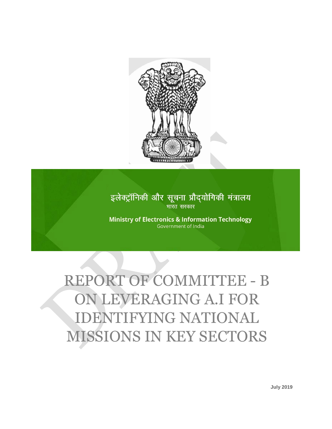

# इलेक्ट्रॉनिकी और सूचना प्रौद्योगिकी मंत्रालय भारत सरकार

**Ministry of Electronics & Information Technology** Government of India

# REPORT OF COMMITTEE - B ON LEVERAGING A.I FOR IDENTIFYING NATIONAL MISSIONS IN KEY SECTORS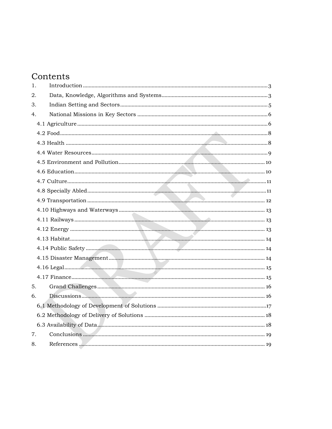# Contents

| 1. |  |  |
|----|--|--|
| 2. |  |  |
| 3. |  |  |
| 4. |  |  |
|    |  |  |
|    |  |  |
|    |  |  |
|    |  |  |
|    |  |  |
|    |  |  |
|    |  |  |
|    |  |  |
|    |  |  |
|    |  |  |
|    |  |  |
|    |  |  |
|    |  |  |
|    |  |  |
|    |  |  |
|    |  |  |
|    |  |  |
| 5. |  |  |
| 6. |  |  |
|    |  |  |
|    |  |  |
|    |  |  |
| 7. |  |  |
| 8. |  |  |
|    |  |  |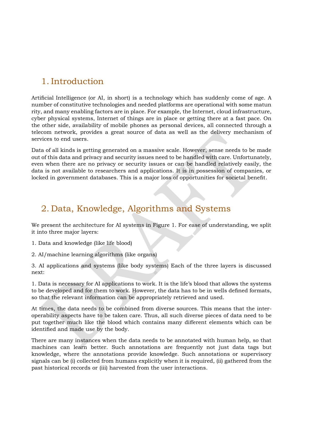# <span id="page-2-0"></span>1. Introduction

Artificial Intelligence (or AI, in short) is a technology which has suddenly come of age. A number of constitutive technologies and needed platforms are operational with some matun rity, and many enabling factors are in place. For example, the Internet, cloud infrastructure, cyber physical systems, Internet of things are in place or getting there at a fast pace. On the other side, availability of mobile phones as personal devices, all connected through a telecom network, provides a great source of data as well as the delivery mechanism of services to end users.

Data of all kinds is getting generated on a massive scale. However, sense needs to be made out of this data and privacy and security issues need to be handled with care. Unfortunately, even when there are no privacy or security issues or can be handled relatively easily, the data is not available to researchers and applications. It is in possession of companies, or locked in government databases. This is a major loss of opportunities for societal benefit.

## <span id="page-2-1"></span>2. Data, Knowledge, Algorithms and Systems

We present the architecture for AI systems in Figure 1. For ease of understanding, we split it into three major layers:

1. Data and knowledge (like life blood)

2. AI/machine learning algorithms (like organs)

3. AI applications and systems (like body systems) Each of the three layers is discussed next:

1. Data is necessary for AI applications to work. It is the life's blood that allows the systems to be developed and for them to work. However, the data has to be in wells defined formats, so that the relevant information can be appropriately retrieved and used.

At times, the data needs to be combined from diverse sources. This means that the interoperability aspects have to be taken care. Thus, all such diverse pieces of data need to be put together much like the blood which contains many different elements which can be identified and made use by the body.

There are many instances when the data needs to be annotated with human help, so that machines can learn better. Such annotations are frequently not just data tags but knowledge, where the annotations provide knowledge. Such annotations or supervisory signals can be (i) collected from humans explicitly when it is required, (ii) gathered from the past historical records or (iii) harvested from the user interactions.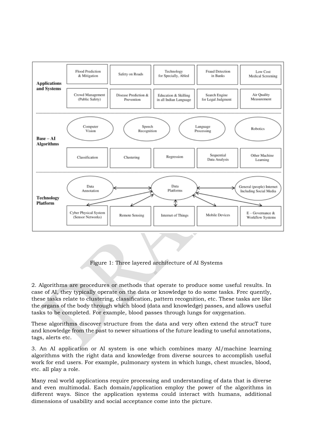

Figure 1: Three layered architecture of AI Systems

2. Algorithms are procedures or methods that operate to produce some useful results. In case of AI, they typically operate on the data or knowledge to do some tasks. Frec quently, these tasks relate to clustering, classification, pattern recognition, etc. These tasks are like the organs of the body through which blood (data and knowledge) passes, and allows useful tasks to be completed. For example, blood passes through lungs for oxygenation.

These algorithms discover structure from the data and very often extend the strucT ture and knowledge from the past to newer situations of the future leading to useful annotations, tags, alerts etc.

3. An AI application or AI system is one which combines many AI/machine learning algorithms with the right data and knowledge from diverse sources to accomplish useful work for end users. For example, pulmonary system in which lungs, chest muscles, blood, etc. all play a role.

Many real world applications require processing and understanding of data that is diverse and even multimodal. Each domain/application employ the power of the algorithms in different ways. Since the application systems could interact with humans, additional dimensions of usability and social acceptance come into the picture.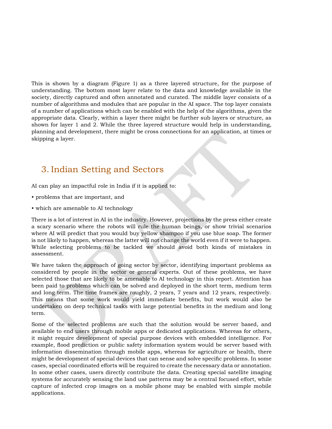This is shown by a diagram (Figure 1) as a three layered structure, for the purpose of understanding. The bottom most layer relate to the data and knowledge available in the society, directly captured and often annotated and curated. The middle layer consists of a number of algorithms and modules that are popular in the AI space. The top layer consists of a number of applications which can be enabled with the help of the algorithms, given the appropriate data. Clearly, within a layer there might be further sub layers or structure, as shown for layer 1 and 2. While the three layered structure would help in understanding, planning and development, there might be cross connections for an application, at times or skipping a layer.

# <span id="page-4-0"></span>3. Indian Setting and Sectors

AI can play an impactful role in India if it is applied to:

- problems that are important, and
- which are amenable to AI technology

There is a lot of interest in AI in the industry. However, projections by the press either create a scary scenario where the robots will rule the human beings, or show trivial scenarios where AI will predict that you would buy yellow shampoo if you use blue soap. The former is not likely to happen, whereas the latter will not change the world even if it were to happen. While selecting problems to be tackled we should avoid both kinds of mistakes in assessment.

We have taken the approach of going sector by sector, identifying important problems as considered by people in the sector or general experts. Out of these problems, we have selected those that are likely to be amenable to AI technology in this report. Attention has been paid to problems which can be solved and deployed in the short term, medium term and long term. The time frames are roughly, 2 years, 7 years and 12 years, respectively. This means that some work would yield immediate benefits, but work would also be undertaken on deep technical tasks with large potential benefits in the medium and long term.

Some of the selected problems are such that the solution would be server based, and available to end users through mobile apps or dedicated applications. Whereas for others, it might require development of special purpose devices with embedded intelligence. For example, flood prediction or public safety information system would be server based with information dissemination through mobile apps, whereas for agriculture or health, there might be development of special devices that can sense and solve specific problems. In some cases, special coordinated efforts will be required to create the necessary data or annotation. In some other cases, users directly contribute the data. Creating special satellite imaging systems for accurately sensing the land use patterns may be a central focused effort, while capture of infected crop images on a mobile phone may be enabled with simple mobile applications.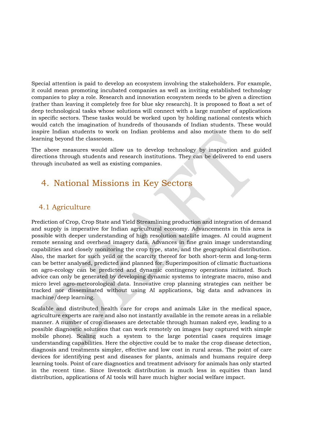Special attention is paid to develop an ecosystem involving the stakeholders. For example, it could mean promoting incubated companies as well as inviting established technology companies to play a role. Research and innovation ecosystem needs to be given a direction (rather than leaving it completely free for blue sky research). It is proposed to float a set of deep technological tasks whose solutions will connect with a large number of applications in specific sectors. These tasks would be worked upon by holding national contests which would catch the imagination of hundreds of thousands of Indian students. These would inspire Indian students to work on Indian problems and also motivate them to do self learning beyond the classroom.

The above measures would allow us to develop technology by inspiration and guided directions through students and research institutions. They can be delivered to end users through incubated as well as existing companies.

## <span id="page-5-0"></span>4. National Missions in Key Sectors

#### <span id="page-5-1"></span>4.1 Agriculture

Prediction of Crop, Crop State and Yield Streamlining production and integration of demand and supply is imperative for Indian agricultural economy. Advancements in this area is possible with deeper understanding of high resolution satellite images. AI could augment remote sensing and overhead imagery data. Advances in fine grain image understanding capabilities and closely monitoring the crop type, state, and the geographical distribution. Also, the market for such yeild or the scarcity thereof for both short-term and long-term can be better analysed, predicted and planned for. Superimposition of climatic fluctuations on agro-ecology can be predicted and dynamic contingency operations initiated. Such advice can only be generated by developing dynamic systems to integrate macro, miso and micro level agro-meteorological data. Innovative crop planning strategies can neither be tracked nor disseminated without using AI applications, big data and advances in machine/deep learning.

Scalable and distributed health care for crops and animals Like in the medical space, agriculture experts are rare and also not instantly available in the remote areas in a reliable manner. A number of crop diseases are detectable through human naked eye, leading to a possible diagnostic solutions that can work remotely on images (say captured with simple mobile phone). Scaling such a system to the large potential cases requires image understanding capabilities. Here the objective could be to make the crop disease detection, diagnosis and treatments simpler, effective and low cost in rural areas. The point of care devices for identifying pest and diseases for plants, animals and humans require deep learning tools. Point of care diagnostics and treatment advisory for animals has only started in the recent time. Since livestock distribution is much less in equities than land distribution, applications of AI tools will have much higher social welfare impact.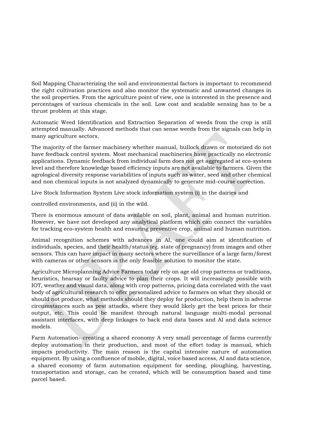Soil Mapping Characterizing the soil and environmental factors is important to recommend the right cultivation practices and also monitor the systematic and unwanted changes in the soil properties. From the agriculture point of view, one is interested in the presence and percentages of various chemicals in the soil. Low cost and scalable sensing has to be a thrust problem at this stage.

Automatic Weed Identification and Extraction Separation of weeds from the crop is still attempted manually. Advanced methods that can sense weeds from the signals can help in many agriculture sectors.

The majority of the farmer machinery whether manual, bullock drawn or motorized do not have feedback control system. Most mechanical machineries have practically no electronic applications. Dynamic feedback from individual farm does not get aggregated at eco-system level and therefore knowledge based efficiency inputs are not available to farmers. Given the agrological diversity response variabilities of inputs such as water, seed and other chemical and non chemical inputs is not analyzed dynamically to generate mid-course correction.

Live Stock Information System Live stock information system (i) in the dairies and

controlled environments, and (ii) in the wild.

There is enormous amount of data available on soil, plant, animal and human nutrition. However, we have not developed any analytical platform which can connect the variables for tracking eco-system health and ensuring preventive crop, animal and human nutrition.

Animal recognition schemes with advances in AI, one could aim at identification of individuals, species, and their health/status (eg. state of pregnancy) from images and other sensors. This can have impact in many sectors where the surveillance of a large farm/forest with cameras or other sensors is the only feasible solution to monitor the state.

Agriculture Microplanning Advice Farmers today rely on age old crop patterns or traditions, heuristics, hearsay or faulty advice to plan their crops. It will increasingly possible with IOT, weather and visual data, along with crop patterns, pricing data correlated with the vast body of agricultural research to offer personalized advice to farmers on what they should or should not produce, what methods should they deploy for production, help them in adverse circumstances such as pest attacks, where they would likely get the best prices for their output, etc. This could be manifest through natural language multi-modal personal assistant interfaces, with deep linkages to back end data bases and AI and data science models.

Farm Automation- creating a shared economy A very small percentage of farms currently deploy automation in their production, and most of the effort today is manual, which impacts productivity. The main reason is the capital intensive nature of automation equipment. By using a confluence of mobile, digital, voice based access, AI and data science, a shared economy of farm automation equipment for seeding, ploughing, harvesting, transportation and storage, can be created, which will be consumption based and time parcel based.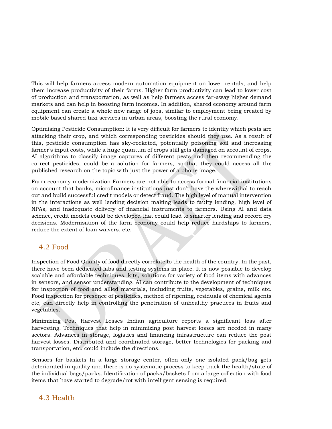This will help farmers access modern automation equipment on lower rentals, and help them increase productivity of their farms. Higher farm productivity can lead to lower cost of production and transportation, as well as help farmers access far-away higher demand markets and can help in boosting farm incomes. In addition, shared economy around farm equipment can create a whole new range of jobs, similar to employment being created by mobile based shared taxi services in urban areas, boosting the rural economy.

Optimising Pesticide Consumption: It is very difficult for farmers to identify which pests are attacking their crop, and which corresponding pesticides should they use. As a result of this, pesticide consumption has sky-rocketed, potentially poisoning soil and increasing farmer's input costs, while a huge quantum of crops still gets damaged on account of crops. AI algorithms to classify image captures of different pests and then recommending the correct pesticides, could be a solution for farmers, so that they could access all the published research on the topic with just the power of a phone image.

Farm economy modernization Farmers are not able to access formal financial institutions on account that banks, microfinance institutions just don't have the wherewithal to reach out and build successful credit models or detect fraud. The high level of manual intervention in the interactions as well lending decision making leads to faulty lending, high level of NPAs, and inadequate delivery of financial instruments to farmers. Using AI and data science, credit models could be developed that could lead to smarter lending and record ery decisions. Modernisation of the farm economy could help reduce hardships to farmers, reduce the extent of loan waivers, etc.

#### <span id="page-7-0"></span>4.2 Food

Inspection of Food Quality of food directly correlate to the health of the country. In the past, there have been dedicated labs and testing systems in place. It is now possible to develop scalable and affordable techniques, kits, solutions for variety of food items with advances in sensors, and sensor understanding. AI can contribute to the development of techniques for inspection of food and allied materials, including fruits, vegetables, grains, milk etc. Food inspection for presence of pesticides, method of ripening, residuals of chemical agents etc, can directly help in controlling the penetration of unhealthy practices in fruits and vegetables.

Minimizing Post Harvest Losses Indian agriculture reports a significant loss after harvesting. Techniques that help in minimizing post harvest losses are needed in many sectors. Advances in storage, logistics and financing infrastructure can reduce the post harvest losses. Distributed and coordinated storage, better technologies for packing and transportation, etc. could include the directions.

Sensors for baskets In a large storage center, often only one isolated pack/bag gets deteriorated in quality and there is no systematic process to keep track the health/state of the individual bags/packs. Identification of packs/baskets from a large collection with food items that have started to degrade/rot with intelligent sensing is required.

#### <span id="page-7-1"></span>4.3 Health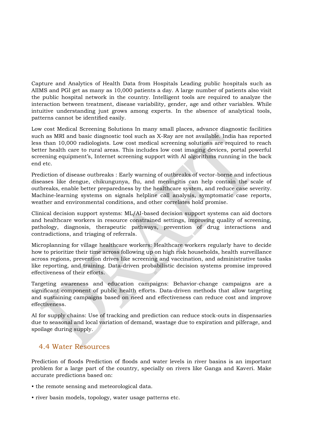Capture and Analytics of Health Data from Hospitals Leading public hospitals such as AIIMS and PGI get as many as 10,000 patients a day. A large number of patients also visit the public hospital network in the country. Intelligent tools are required to analyze the interaction between treatment, disease variability, gender, age and other variables. While intuitive understanding just grows among experts. In the absence of analytical tools, patterns cannot be identified easily.

Low cost Medical Screening Solutions In many small places, advance diagnostic facilities such as MRI and basic diagnostic tool such as X-Ray are not available. India has reported less than 10,000 radiologists. Low cost medical screening solutions are required to reach better health care to rural areas. This includes low cost imaging devices, portal powerful screening equipment's, Internet screening support with AI algorithms running in the back end etc.

Prediction of disease outbreaks : Early warning of outbreaks of vector-borne and infectious diseases like dengue, chikungunya, flu, and meningitis can help contain the scale of outbreaks, enable better preparedness by the healthcare system, and reduce case severity. Machine-learning systems on signals helpline call analysis, symptomatic case reports, weather and environmental conditions, and other correlates hold promise.

Clinical decision support systems: ML/AI-based decision support systems can aid doctors and healthcare workers in resource constrained settings, improving quality of screening, pathology, diagnosis, therapeutic pathways, prevention of drug interactions and contradictions, and triaging of referrals.

Microplanning for village healthcare workers: Healthcare workers regularly have to decide how to prioritize their time across following up on high risk households, health surveillance across regions, prevention drives like screening and vaccination, and administrative tasks like reporting, and training. Data-driven probabilistic decision systems promise improved effectiveness of their efforts.

Targeting awareness and education campaigns: Behavior-change campaigns are a significant component of public health efforts. Data-driven methods that allow targeting and sustaining campaigns based on need and effectiveness can reduce cost and improve effectiveness.

AI for supply chains: Use of tracking and prediction can reduce stock-outs in dispensaries due to seasonal and local variation of demand, wastage due to expiration and pilferage, and spoilage during supply.

#### <span id="page-8-0"></span>4.4 Water Resources

Prediction of floods Prediction of floods and water levels in river basins is an important problem for a large part of the country, specially on rivers like Ganga and Kaveri. Make accurate predictions based on:

- the remote sensing and meteorological data.
- river basin models, topology, water usage patterns etc.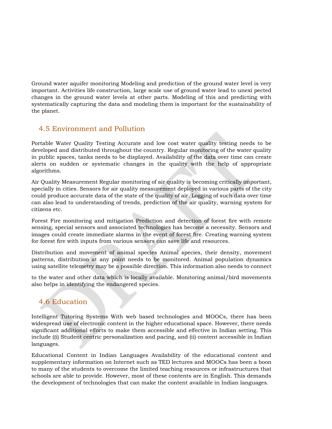Ground water aquifer monitoring Modeling and prediction of the ground water level is very important. Activities life construction, large scale use of ground water lead to unexi pected changes in the ground water levels at other parts. Modeling of this and predicting with systematically capturing the data and modeling them is important for the sustainability of the planet.

#### <span id="page-9-0"></span>4.5 Environment and Pollution

Portable Water Quality Testing Accurate and low cost water quality testing needs to be developed and distributed throughout the country. Regular monitoring of the water quality in public spaces, tanks needs to be displayed. Availability of the data over time can create alerts on sudden or systematic changes in the quality with the help of appropriate algorithms.

Air Quality Measurement Regular monitoring of air quality is becoming critically important, specially in cities. Sensors for air quality measurement deployed in various parts of the city could produce accurate data of the state of the quality of air. Logging of such data over time can also lead to understanding of trends, prediction of the air quality, warning system for citizens etc.

Forest Fire monitoring and mitigation Prediction and detection of forest fire with remote sensing, special sensors and associated technologies has become a necessity. Sensors and images could create immediate alarms in the event of forest fire. Creating warning system for forest fire with inputs from various sensors can save life and resources.

Distribution and movement of animal species Animal species, their density, movement patterns, distribution at any point needs to be monitored. Animal population dynamics using satellite telemetry may be a possible direction. This information also needs to connect

to the water and other data which is locally available. Monitoring animal/bird movements also helps in identifying the endangered species.

### <span id="page-9-1"></span>4.6 Education

Intelligent Tutoring Systems With web based technologies and MOOCs, there has been widespread use of electronic content in the higher educational space. However, there needs significant additional efforts to make them accessible and effective in Indian setting. This include ((i) Student centric personalization and pacing, and (ii) content accessible in Indian languages.

Educational Content in Indian Languages Availability of the educational content and supplementary information on Internet such as TED lectures and MOOCs has been a boon to many of the students to overcome the limited teaching resources or infrastructures that schools are able to provide. However, most of these contents are in English. This demands the development of technologies that can make the content available in Indian languages.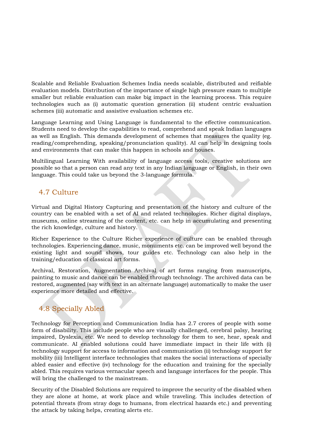Scalable and Reliable Evaluation Schemes India needs scalable, distributed and reifiable evaluation models. Distribution of the importance of single high pressure exam to multiple smaller but reliable evaluation can make big impact in the learning process. This require technologies such as (i) automatic question generation (ii) student centric evaluation schemes (iii) automatic and assistive evaluation schemes etc.

Language Learning and Using Language is fundamental to the effective communication. Students need to develop the capabilities to read, comprehend and speak Indian languages as well as English. This demands development of schemes that measures the quality (eg. reading/comprehending, speaking/pronunciation quality). AI can help in designing tools and environments that can make this happen in schools and houses.

Multilingual Learning With availability of language access tools, creative solutions are possible so that a person can read any text in any Indian language or English, in their own language. This could take us beyond the 3-language formula.

#### <span id="page-10-0"></span>4.7 Culture

Virtual and Digital History Capturing and presentation of the history and culture of the country can be enabled with a set of AI and related technologies. Richer digital displays, museums, online streaming of the content, etc. can help in accumulating and presenting the rich knowledge, culture and history.

Richer Experience to the Culture Richer experience of culture can be enabled through technologies. Experiencing dance, music, monuments etc. can be improved well beyond the existing light and sound shows, tour guides etc. Technology can also help in the training/education of classical art forms.

Archival, Restoration, Augmentation Archival of art forms ranging from manuscripts, painting to music and dance can be enabled through technology. The archived data can be restored, augmented (say with text in an alternate language) automatically to make the user experience more detailed and effective.

#### <span id="page-10-1"></span>4.8 Specially Abled

Technology for Perception and Communication India has 2.7 crores of people with some form of disability. This include people who are visually challenged, cerebral palsy, hearing impaired, Dyslexia, etc. We need to develop technology for them to see, hear, speak and communicate. AI enabled solutions could have immediate impact in their life with (i) technology support for access to information and communication (ii) technology support for mobility (iii) Intelligent interface technologies that makes the social interactions of specially abled easier and effective (iv) technology for the education and training for the specially abled. This requires various vernacular speech and language interfaces for the people. This will bring the challenged to the mainstream.

Security of the Disabled Solutions are required to improve the security of the disabled when they are alone at home, at work place and while traveling. This includes detection of potential threats (from stray dogs to humans, from electrical hazards etc.) and preventing the attack by taking helps, creating alerts etc.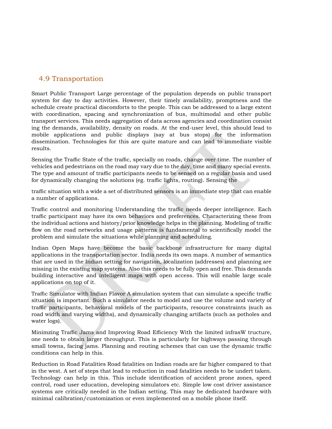#### <span id="page-11-0"></span>4.9 Transportation

Smart Public Transport Large percentage of the population depends on public transport system for day to day activities. However, their timely availability, promptness and the schedule create practical discomforts to the people. This can be addressed to a large extent with coordination, spacing and synchronization of bus, multimodal and other public transport services. This needs aggregation of data across agencies and coordination consist ing the demands, availability, density on roads. At the end-user level, this should lead to mobile applications and public displays (say at bus stops) for the information dissemination. Technologies for this are quite mature and can lead to immediate visible results.

Sensing the Traffic State of the traffic, specially on roads, change over time. The number of vehicles and pedestrians on the road may vary due to the day, time and many special events. The type and amount of traffic participants needs to be sensed on a regular basis and used for dynamically changing the solutions (eg. traffic lights, routing). Sensing the

traffic situation with a wide a set of distributed sensors is an immediate step that can enable a number of applications.

Traffic control and monitoring Understanding the traffic needs deeper intelligence. Each traffic participant may have its own behaviors and preferences. Characterizing these from the individual actions and history/prior knowledge helps in the planning. Modeling of traffic flow on the road networks and usage patterns is fundamental to scientifically model the problem and simulate the situations while planning and scheduling.

Indian Open Maps have become the basic backbone infrastructure for many digital applications in the transportation sector. India needs its own maps. A number of semantics that are used in the Indian setting for navigation, localization (addresses) and planning are missing in the existing map systems. Also this needs to be fully open and free. This demands building interactive and intelligent maps with open access. This will enable large scale applications on top of it.

Traffic Simulator with Indian Flavor A simulation system that can simulate a specific traffic situation is important. Such a simulator needs to model and use the volume and variety of traffic participants, behavioral models of the participants, resource constraints (such as road width and varying widths), and dynamically changing artifacts (such as potholes and water logs).

Minimzing Traffic Jams and Improving Road Efficiency With the limited infrasW tructure, one needs to obtain larger throughput. This is particularly for highways passing through small towns, facing jams. Planning and routing schemes that can use the dynamic traffic conditions can help in this.

Reduction in Road Fatalities Road fatalities on Indian roads are far higher compared to that in the west. A set of steps that lead to reduction in road fatalities needs to be undert taken. Technology can help in this. This include identification of accident prone zones, speed control, road user education, developing simulators etc. Simple low cost driver assistance systems are critically needed in the Indian setting. This may be dedicated hardware with minimal calibration/customization or even implemented on a mobile phone itself.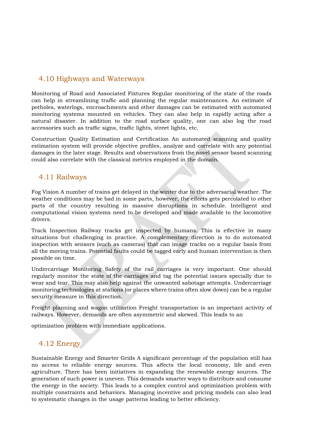#### <span id="page-12-0"></span>4.10 Highways and Waterways

Monitoring of Road and Associated Fixtures Regular monitoring of the state of the roads can help in streamlining traffic and planning the regular maintenances. An estimate of potholes, waterlogs, encroachments and other damages can be estimated with automated monitoring systems mounted on vehicles. They can also help in rapidly acting after a natural disaster. In addition to the road surface quality, one can also log the road accessories such as traffic signs, traffic lights, street lights, etc.

Construction Quality Estimation and Certification An automated scanning and quality estimation system will provide objective profiles, analyze and correlate with any potential damages in the later stage. Results and observations from the novel sensor based scanning could also correlate with the classical metrics employed in the domain.

#### <span id="page-12-1"></span>4.11 Railways

Fog Vision A number of trains get delayed in the winter due to the adversarial weather. The weather conditions may be bad in some parts, however, the effects gets percolated to other parts of the country resulting in massive disruptions in schedule. Intelligent and computational vision systems need to be developed and made available to the locomotive drivers.

Track Inspection Railway tracks get inspected by humans. This is effective in many situations but challenging in practice. A complementary direction is to do automated inspection with sensors (such as cameras) that can image tracks on a regular basis from all the moving trains. Potential faults could be tagged early and human intervention is then possible on time.

Undercarriage Monitoring Safety of the rail carriages is very important. One should regularly monitor the state of the carriages and tag the potential issues specially due to wear and tear. This may also help against the unwanted sabotage attempts. Undercarriage monitoring technologies at stations (or places where trains often slow down) can be a regular security measure in this direction.

Freight planning and wagon utilization Freight transportation is an important activity of railways. However, demands are often asymmetric and skewed. This leads to an

optimization problem with immediate applications.

#### <span id="page-12-2"></span>4.12 Energy

Sustainable Energy and Smarter Grids A significant percentage of the population still has no access to reliable energy sources. This affects the local economy, life and even agriculture. There has been initiatives in expanding the renewable energy sources. The generation of such power is uneven. This demands smarter ways to distribute and consume the energy in the society. This leads to a complex control and optimization problem with multiple constraints and behaviors. Managing incentive and pricing models can also lead to systematic changes in the usage patterns leading to better efficiency.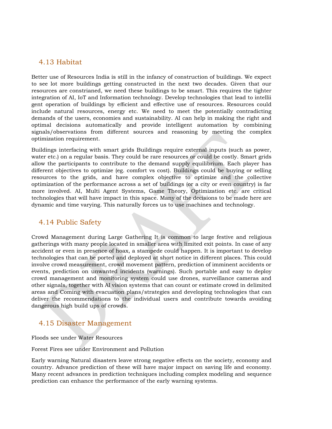#### <span id="page-13-0"></span>4.13 Habitat

Better use of Resources India is still in the infancy of construction of buildings. We expect to see lot more buildings getting constructed in the next two decades. Given that our resources are constrianed, we need these buildings to be smart. This requires the tighter integration of AI, IoT and Information technology. Develop technologies that lead to intellii gent operation of buildings by efficient and effective use of resources. Resources could include natural resources, energy etc. We need to meet the potentially contradicting demands of the users, economies and sustainability. AI can help in making the right and optimal decisions automatically and provide intelligent automation by combining signals/observations from different sources and reasoning by meeting the complex optimization requirement.

Buildings interfacing with smart grids Buildings require external inputs (such as power, water etc.) on a regular basis. They could be rare resources or could be costly. Smart grids allow the participants to contribute to the demand supply equilibrium. Each player has different objectives to optimize (eg. comfort vs cost). Buildings could be buying or selling resources to the grids, and have complex objective to optimize and the collective optimization of the performance across a set of buildings (or a city or even country) is far more involved. AI, Multi Agent Systems, Game Theory, Optimization etc. are critical technologies that will have impact in this space. Many of the decisions to be made here are dynamic and time varying. This naturally forces us to use machines and technology.

#### <span id="page-13-1"></span>4.14 Public Safety

Crowd Management during Large Gathering It is common to large festive and religious gatherings with many people located in smaller area with limited exit points. In case of any accident or even in presence of hoax, a stampede could happen. It is important to develop technologies that can be ported and deployed at short notice in different places. This could involve crowd measurement, crowd movement pattern, prediction of imminent accidents or events, prediction on unwanted incidents (warnings). Such portable and easy to deploy crowd management and monitoring system could use drones, surveillance cameras and other signals, together with AI vision systems that can count or estimate crowd in delimited areas and Coming with evacuation plans/strategies and developing technologies that can deliver the recommendations to the individual users and contribute towards avoiding dangerous high build ups of crowds.

#### <span id="page-13-2"></span>4.15 Disaster Management

Floods see under Water Resources

Forest Fires see under Environment and Pollution

Early warning Natural disasters leave strong negative effects on the society, economy and country. Advance prediction of these will have major impact on saving life and economy. Many recent advances in prediction techniques including complex modeling and sequence prediction can enhance the performance of the early warning systems.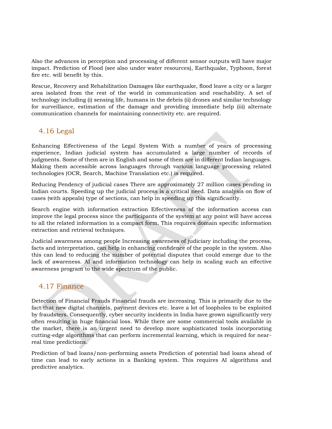Also the advances in perception and processing of different sensor outputs will have major impact. Prediction of Flood (see also under water resources), Earthquake, Typhoon, forest fire etc. will benefit by this.

Rescue, Recovery and Rehabilitation Damages like earthquake, flood leave a city or a larger area isolated from the rest of the world in communication and reachability. A set of technology including (i) sensing life, humans in the debris (ii) drones and similar technology for surveillance, estimation of the damage and providing immediate help (iii) alternate communication channels for maintaining connectivity etc. are required.

#### <span id="page-14-0"></span>4.16 Legal

Enhancing Effectiveness of the Legal System With a number of years of processing experience, Indian judicial system has accumulated a large number of records of judgments. Some of them are in English and some of them are in different Indian languages. Making them accessible across languages through various language processing related technologies (OCR, Search, Machine Translation etc.) is required.

Reducing Pendency of judicial cases There are approximately 27 million cases pending in Indian courts. Speeding up the judicial process is a critical need. Data analysis on flow of cases (with appeals) type of sections, can help in speeding up this significantly.

Search engine with information extraction Effectiveness of the information access can improve the legal process since the participants of the system at any point will have access to all the related information in a compact form. This requires domain specific information extraction and retrieval techniques.

Judicial awareness among people Increasing awareness of judiciary including the process, facts and interpretation, can help in enhancing confidence of the people in the system. Also this can lead to reducing the number of potential disputes that could emerge due to the lack of awareness. AI and information technology can help in scaling such an effective awareness program to the wide spectrum of the public.

#### <span id="page-14-1"></span>4.17 Finance

Detection of Financial Frauds Financial frauds are increasing. This is primarily due to the fact that new digital channels, payment devices etc. leave a lot of loopholes to be exploited by fraudsters. Consequently, cyber security incidents in India have grown significantly very often resulting in huge financial loss. While there are some commercial tools available in the market, there is an urgent need to develop more sophisticated tools incorporating cutting-edge algorithms that can perform incremental learning, which is required for nearreal time predictions.

Prediction of bad loans/non-performing assets Prediction of potential bad loans ahead of time can lead to early actions in a Banking system. This requires AI algorithms and predictive analytics.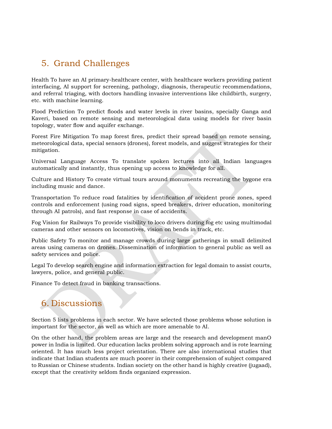# <span id="page-15-0"></span>5. Grand Challenges

Health To have an AI primary-healthcare center, with healthcare workers providing patient interfacing, AI support for screening, pathology, diagnosis, therapeutic recommendations, and referral triaging, with doctors handling invasive interventions like childbirth, surgery, etc. with machine learning.

Flood Prediction To predict floods and water levels in river basins, specially Ganga and Kaveri, based on remote sensing and meteorological data using models for river basin topology, water flow and aquifer exchange.

Forest Fire Mitigation To map forest fires, predict their spread based on remote sensing, meteorological data, special sensors (drones), forest models, and suggest strategies for their mitigation.

Universal Language Access To translate spoken lectures into all Indian languages automatically and instantly, thus opening up access to knowledge for all.

Culture and History To create virtual tours around monuments recreating the bygone era including music and dance.

Transportation To reduce road fatalities by identification of accident prone zones, speed controls and enforcement (using road signs, speed breakers, driver education, monitoring through AI patrols), and fast response in case of accidents.

Fog Vision for Railways To provide visibility to loco drivers during fog etc using multimodal cameras and other sensors on locomotives, vision on bends in track, etc.

Public Safety To monitor and manage crowds during large gatherings in small delimited areas using cameras on drones. Dissemination of information to general public as well as safety services and police.

Legal To develop search engine and information extraction for legal domain to assist courts, lawyers, police, and general public.

<span id="page-15-1"></span>Finance To detect fraud in banking transactions.

# 6. Discussions

Section 5 lists problems in each sector. We have selected those problems whose solution is important for the sector, as well as which are more amenable to AI.

<span id="page-15-2"></span>On the other hand, the problem areas are large and the research and development manO power in India is limited. Our education lacks problem solving approach and is rote learning oriented. It has much less project orientation. There are also international studies that indicate that Indian students are much poorer in their comprehension of subject compared to Russian or Chinese students. Indian society on the other hand is highly creative (jugaad), except that the creativity seldom finds organized expression.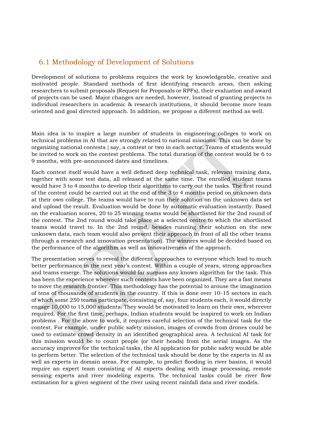#### 6.1 Methodology of Development of Solutions

Development of solutions to problems requires the work by knowledgeable, creative and motivated people. Standard methods of first identifying research areas, then asking researchers to submit proposals (Request for Proposals or RPFs), their evaluation and award of projects can be used. Major changes are needed, however, Instead of granting projects to individual researchers in academic & research institutions, it should become more team oriented and goal directed approach. In addition, we propose a different method as well.

Main idea is to inspire a large number of students in engineering colleges to work on technical problems in AI that are strongly related to national missions. This can be done by organizing national contests { say, a contest or two in each sector. Teams of students would be invited to work on the contest problems. The total duration of the contest would be 6 to 9 months, with pre-announced dates and timelines.

Each contest itself would have a well defined deep technical task, relevant training data, together with some test data, all released at the same time. The enrolled student teams would have 3 to 4 months to develop their algorithms to carry out the tasks. The first round of the contest could be carried out at the end of the 3 to 4 months period on unknown data at their own college. The teams would have to run their solution on the unknown data set and upload the result. Evaluation would be done by automatic evaluation instantly. Based on the evaluation scores, 20 to 25 winning teams would be shortlisted for the 2nd round of the contest. The 2nd round would take place at a selected centre to which the shortlisted teams would travel to. In the 2nd round, besides running their solution on the new unknown data, each team would also present their approach in front of all the other teams (through a research and innovation presentation). The winners would be decided based on the performance of the algorithm as well as innovativeness of the approach.

<span id="page-16-0"></span>The presentation serves to reveal the different approaches to everyone which lead to much better performance in the next year's contest. Within a couple of years, strong approaches and teams emerge. The solutions would far surpass any known algorithm for the task. This has been the experience wherever such contests have been organized. They are a fast means to move the research frontier. This methodology has the potential to arouse the imagination of tens of thousands of students in the country. If this is done over 10-15 sectors in each of which some 250 teams participate, consisting of, say, four students each, it would directly engage 10,000 to 15,000 students. They would be motivated to learn on their own, wherever required. For the first time, perhaps, Indian students would be inspired to work on Indian problems . For the above to work, it requires careful selection of the technical task for the contest. For example, under public safety mission, images of crowds from drones could be used to estimate crowd density in an identified geographical area. A technical AI task for this mission would be to count people (or their heads) from the aerial images. As the accuracy improves for the technical tasks, the AI application for public safety would be able to perform better. The selection of the technical task should be done by the experts in AI as well as experts in domain areas. For example, to predict flooding in river basins, it would require an expert team consisting of AI experts dealing with image processing, remote sensing experts and river modeling experts. The technical tasks could be river flow estimation for a given segment of the river using recent rainfall data and river models.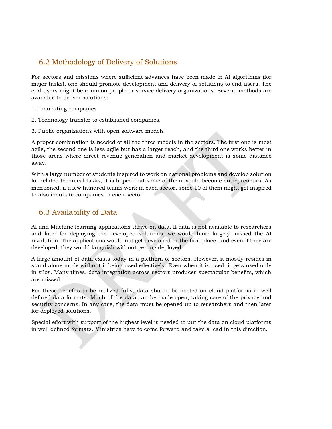#### 6.2 Methodology of Delivery of Solutions

For sectors and missions where sufficient advances have been made in AI algorithms (for major tasks), one should promote development and delivery of solutions to end users. The end users might be common people or service delivery organizations. Several methods are available to deliver solutions:

#### 1. Incubating companies

- 2. Technology transfer to established companies,
- 3. Public organizations with open software models

A proper combination is needed of all the three models in the sectors. The first one is most agile, the second one is less agile but has a larger reach, and the third one works better in those areas where direct revenue generation and market development is some distance away.

With a large number of students inspired to work on national problems and develop solution for related technical tasks, it is hoped that some of them would become entrepreneurs. As mentioned, if a few hundred teams work in each sector, some 10 of them might get inspired to also incubate companies in each sector

#### <span id="page-17-0"></span>6.3 Availability of Data

AI and Machine learning applications thrive on data. If data is not available to researchers and later for deploying the developed solutions, we would have largely missed the AI revolution. The applications would not get developed in the first place, and even if they are developed, they would languish without getting deployed.

A large amount of data exists today in a plethora of sectors. However, it mostly resides in stand alone mode without it being used effectively. Even when it is used, it gets used only in silos. Many times, data integration across sectors produces spectacular benefits, which are missed.

For these benefits to be realized fully, data should be hosted on cloud platforms in well defined data formats. Much of the data can be made open, taking care of the privacy and security concerns. In any case, the data must be opened up to researchers and then later for deployed solutions.

Special effort with support of the highest level is needed to put the data on cloud platforms in well defined formats. Ministries have to come forward and take a lead in this direction.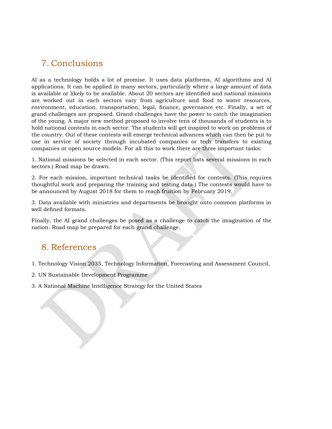# <span id="page-18-0"></span>7. Conclusions

AI as a technology holds a lot of promise. It uses data platforms, AI algorithms and AI applications. It can be applied in many sectors, particularly where a large amount of data is available or likely to be available. About 20 sectors are identified and national missions are worked out in each sectors vary from agriculture and food to water resources, environment, education, transportation, legal, finance, governance etc. Finally, a set of grand challenges are proposed. Grand challenges have the power to catch the imagination of the young. A major new method proposed to involve tens of thousands of students is to hold national contests in each sector. The students will get inspired to work on problems of the country. Out of these contests will emerge technical advances which can then be put to use in service of society through incubated companies or tech transfers to existing companies or open source models. For all this to work there are three important tasks:

1. National missions be selected in each sector. (This report lists several missions in each sectors.) Road map be drawn.

2. For each mission, important technical tasks be identified for contests. (This requires thoughtful work and preparing the training and testing data.) The contests would have to be announced by August 2018 for them to reach fruition by February 2019.

3. Data available with ministries and departments be brought onto common platforms in well defined formats.

Finally, the AI grand challenges be posed as a challenge to catch the imagination of the nation. Road map be prepared for each grand challenge.

## <span id="page-18-1"></span>8. References

1. Technology Vision 2035, Technology Information, Forecasting and Assessment Council,

2. UN Sustainable Development Programme

3. A National Machine Intelligence Strategy for the United States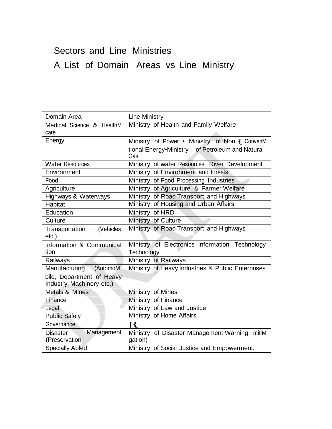# Sectors and Line Ministries A List of Domain Areas vs Line Ministry

| Domain Area                                    | <b>Line Ministry</b>                                      |
|------------------------------------------------|-----------------------------------------------------------|
| Medical Science & HealthM                      | Ministry of Health and Family Welfare                     |
| care                                           |                                                           |
| Energy                                         | Ministry of Power • Ministry of Non { ConvenM             |
|                                                | tional Energy•Ministry of Petroleum and Natural<br>Gas    |
| <b>Water Resources</b>                         | Ministry of water Resources, River Development            |
| Environment                                    | Ministry of Environment and forests                       |
| Food                                           | Ministry of Food Processing Industries                    |
| Agriculture                                    | Ministry of Agriculture & Farmer Welfare                  |
| Highways & Waterways                           | Ministry of Road Transport and Highways                   |
| Habitat                                        | Ministry of Housing and Urban Affairs                     |
| Education                                      | Ministry of HRD                                           |
| Culture                                        | Ministry of Culture                                       |
| Transportation<br>(Vehicles                    | Ministry of Road Transport and Highways                   |
| $etc.$ )                                       |                                                           |
| Information & Communical                       | Ministry of Electronics Information Technology            |
| tion                                           | Technology                                                |
| Railways                                       | Ministry of Railways                                      |
| Manufacturing<br>(AutomoM                      | Ministry of Heavy Industries & Public Enterprises         |
| bile, Department of Heavy                      |                                                           |
| Industry Machinery etc.)                       |                                                           |
| Metals & Mines                                 | Ministry of Mines                                         |
| Finance                                        | Ministry of Finance                                       |
| Legal                                          | Ministry of Law and Justice                               |
| <b>Public Safety</b>                           | Ministry of Home Affairs                                  |
| Governance                                     | $\mathsf{R}$                                              |
| Management<br><b>Disaster</b><br>(Preservation | Ministry of Disaster Management Warning, mitiM<br>gation) |
| <b>Specially Abled</b>                         | Ministry of Social Justice and Empowerment.               |